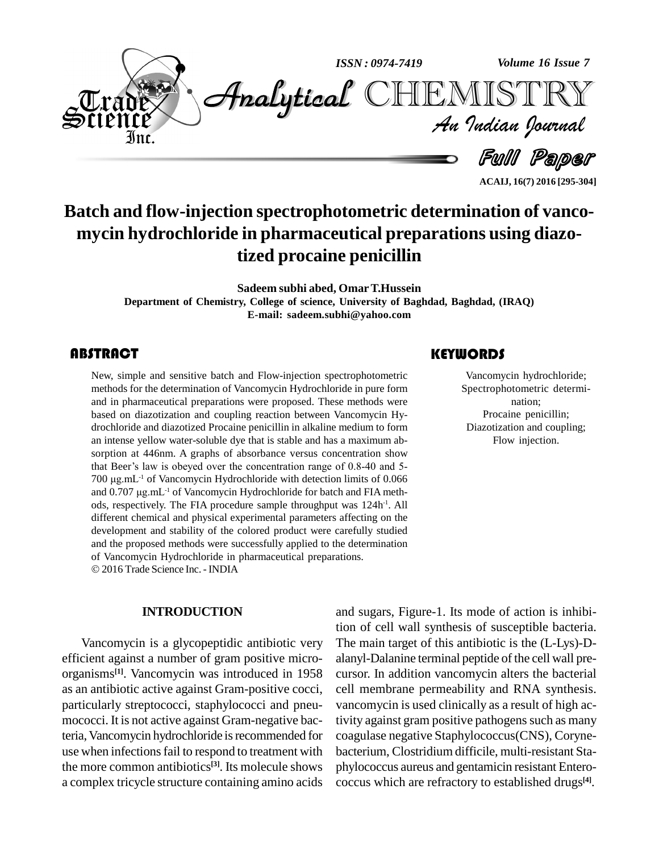

**Batch and flow-injection spectrophotometric determination of vanco mycin hydrochloride in pharmaceutical preparations using diazotized procaine penicillin**

**Sadeem subhi abed, OmarT.Hussein**

**Department of Chemistry, College of science, University ofBaghdad, Baghdad, (IRAQ) E-mail: [sadeem.subhi@yahoo.com](mailto:sadeem.subhi@yahoo.com)**

New, simple and sensitive batch and Flow-injection spectrophotometric<br>methods for the determination of Vancomycin Hydrochloride in pure form<br>and in pharmaceutical preparations were proposed. These methods were New, simple and sensitive batch and Flow-injection spectrophotometric methods for the determination of Vancomycin Hydrochloride in pure form based on diazotization and coupling reaction between Vancomycin Hy drochloride and diazotized Procaine penicillin in alkaline medium to form an intense yellow water-soluble dye that is stable and has a maximum ab sorption at 446nm. A graphs of absorbance versus concentration show an intense yellow water-soluble dye that is stable and has a maximum absorption at 446nm. A graphs of absorbance versus concentration show that Beer's law is obeyed over the concentration range of 0.8-40 and 5sorption at 446nm. A graphs of absorbance versus concentration show<br>that Beer's law is obeyed over the concentration range of 0.8-40 and 5-<br>700 µg.mL<sup>-1</sup> of Vancomycin Hydrochloride with detection limits of 0.066 that Beer's law is obeyed o<br>700 µg.mL<sup>-1</sup> of Vancomycin<br>and 0.707 µg.mL<sup>-1</sup> of Vancor and 0.707 µg.mL<sup>-1</sup> of Vancomycin Hydrochloride for batch and FIA methods, respectively. The FIA procedure sample throughput was 124h<sup>-1</sup>. All different chemical and physical experimental parameters affecting on the development and stability of the colored product were carefully studied and the proposed methods were successfully applied to the determination of Vancomycin Hydrochloride in pharmaceutical preparations. © 2016 Trade Science Inc. - INDIA

#### **INTRODUCTION**

Vancomycin is a glycopeptidic antibiotic very efficient against a number of gram positive micro organisms **[1]**. Vancomycin was introduced in 1958 as an antibiotic active against Gram-positive cocci, particularly streptococci, staphylococci and pneu mococci. It is not active against Gram-negative bacteria, Vancomycin hydrochloride is recommended for use when infections fail to respond to treatment with the more common antibiotics **[3]**. Its molecule shows a complex tricycle structure containing amino acids

### **KEYWORDS**

Vancomycin hydroo<br>Spectrophotometric<br>nation; Vancomycin hydrochloride; Spectrophotometric determi nation; Procaine penicillin; Diazotization and coupling; Flow injection.

**ACAIJ, 16(7) 2016 [295-304]**

and sugars, Figure-1. Its mode of action is inhibition of cell wall synthesis of susceptible bacteria. The main target of this antibiotic is the (L-Lys)-D alanyl-Dalanine terminal peptide of the cell wall pre cursor. In addition vancomycin alters the bacterial cell membrane permeability and RNA synthesis. vancomycin is used clinically as a result of high activity against gram positive pathogens such as many coagulase negative Staphylococcus(CNS), Coryne bacterium, Clostridium difficile, multi-resistant Sta phylococcus aureus and gentamicin resistant Entero coccus which are refractory to established drugs **[4]**.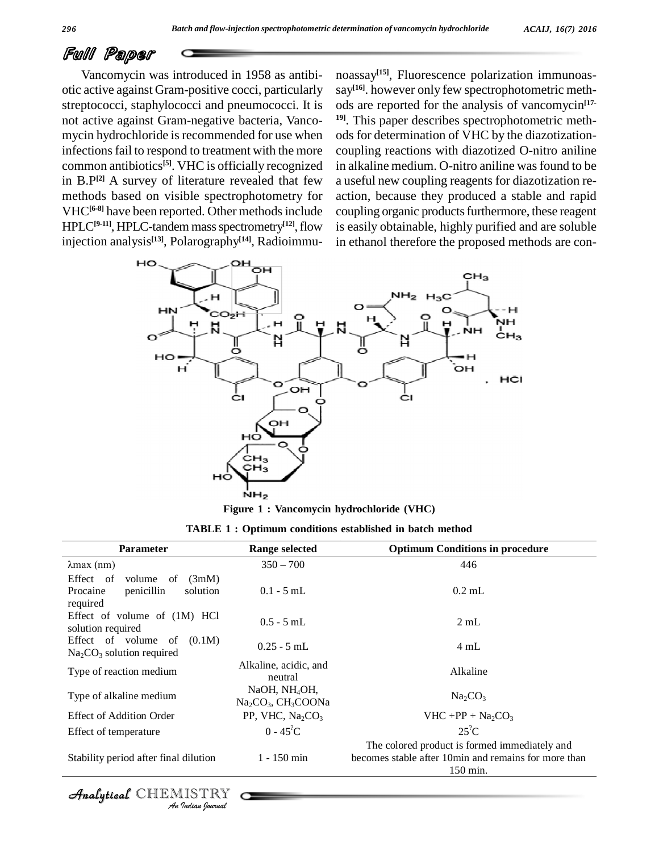## Full Paper

Vancomycin was introduced in 1958 as antibi otic active against Gram-positive cocci, particularly streptococci, staphylococci and pneumococci. It is not active against Gram-negative bacteria, Vanco mycin hydrochloride is recommended for use when infections fail to respond to treatment with the more common antibiotics **[5]**. VHC is officially recognized in  $B.P^{[2]}$  A survey of literature revealed that few a useful ne methods based on visible spectrophotometry for VHC**[6-8]** have been reported. Other methodsinclude HPLC<sup>[9-11]</sup>, HPLC-tandem mass spectrometry<sup>[12]</sup>, flow injection analysis **[13]**, Polarography **[14]**, Radioimmu-

**[12]**,flow is easily obtainable, highly purified and are soluble noassay **[15]**, Fluorescence polarization immunoas say **[16]**. however only few spectrophotometric meth ods are reported for the analysis of vancomycin **[17- 19]**. This paper describes spectrophotometric meth ods for determination of VHC by the diazotizationcoupling reactions with diazotized O-nitro aniline in alkaline medium. O-nitro aniline was found to be a useful new coupling reagents for diazotization re action, because they produced a stable and rapid coupling organic products furthermore, these reagent in ethanol therefore the proposed methods are con-



**Figure 1 : Vancomycin hydrochloride (VHC)**

| <b>TABLE 1: Optimum conditions established in batch method</b> |  |
|----------------------------------------------------------------|--|
|----------------------------------------------------------------|--|

| <b>Parameter</b>                                                                     | <b>Range selected</b>                                         | <b>Optimum Conditions in procedure</b>                                                                             |  |  |  |
|--------------------------------------------------------------------------------------|---------------------------------------------------------------|--------------------------------------------------------------------------------------------------------------------|--|--|--|
| $\lambda$ max (nm)                                                                   | $350 - 700$                                                   | 446                                                                                                                |  |  |  |
| Effect of<br>volume<br>(3mM)<br>of<br>penicillin<br>solution<br>Procaine<br>required | $0.1 - 5$ mL                                                  | $0.2$ mL                                                                                                           |  |  |  |
| Effect of volume of (1M) HCl<br>solution required                                    | $0.5 - 5$ mL                                                  | 2mL                                                                                                                |  |  |  |
| Effect of volume of $(0.1M)$<br>$Na2CO3$ solution required                           | $0.25 - 5$ mL                                                 | 4 mL                                                                                                               |  |  |  |
| Type of reaction medium                                                              | Alkaline, acidic, and<br>neutral                              | Alkaline                                                                                                           |  |  |  |
| Type of alkaline medium                                                              | NaOH, NH <sub>4</sub> OH,<br>$Na2CO3$ , CH <sub>3</sub> COONa | Na <sub>2</sub> CO <sub>3</sub>                                                                                    |  |  |  |
| <b>Effect of Addition Order</b>                                                      | PP, VHC, $Na2CO3$                                             | $VHC + PP + Na2CO3$                                                                                                |  |  |  |
| Effect of temperature                                                                | $0 - 45^{\circ}C$                                             | $25^{\circ}$ C                                                                                                     |  |  |  |
| Stability period after final dilution                                                | $1 - 150$ min                                                 | The colored product is formed immediately and<br>becomes stable after 10 min and remains for more than<br>150 min. |  |  |  |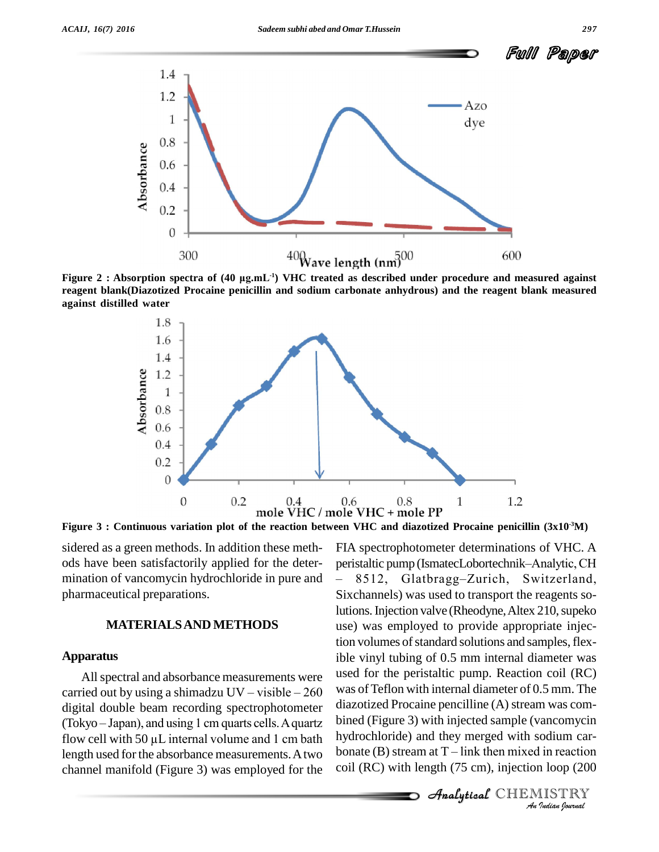

**reagent blank(Diazotized Procaine penicillin and sodium carbonate anhydrous) and the reagent blank measured against distilled water**



Figure 3 : Continuous variation plot of the reaction between VHC and diazotized Procaine penicillin (3x10<sup>-3</sup>M)

sidered as a green methods. In addition these meth mination of vancomycin hydrochloride in pure and  $-8512$ , pharmaceutical preparations.

#### **MATERIALSAND METHODS**

#### **Apparatus**

All spectral and absorbance measurements were used ible vi:<br>All spectral and absorbance measurements were used for<br>carried out by using a shimadzu UV – visible – 260 was of digital double beam recording spectrophotometer diaz carried out by using a shimadzu UV – visible – 260 was o<br>digital double beam recording spectrophotometer diazo<br>(Tokyo – Japan), and using 1 cm quarts cells. A quartz bined digital double beam recording spectrophotometer diazoti<br>(Tokyo – Japan), and using 1 cm quarts cells. A quartz bined (<br>flow cell with 50 µL internal volume and 1 cm bath hydroc length used for the absorbance measurements. A two bonate  $(B)$  stream at T – link then mixed in reaction channel manifold (Figure 3) was employed for the

*Analytical* CHEMISTRY<br>
Analytical CHEMISTRY<br>
Analytical CHEMISTRY<br>
Analytical CHEMISTRY ods have been satisfactorily applied for the deter- FIA spectrophotometer determinations of VHC. A pen VHC and diazotized Procaine peniculin (3x10°M)<br>FIA spectrophotometer determinations of VHC. A<br>peristaltic pump (IsmatecLobortechnik–Analytic, CH FIA spectrophotometer determinations of VHC. A<br>peristaltic pump (IsmatecLobortechnik–Analytic, CH<br>- 8512. Glatbragg–Zurich, Switzerland, Sixchannels) was used to transport the reagents solutions. Injection valve (Rheodyne, Altex 210, supeko use) was employed to provide appropriate injection volumes of standard solutions and samples, flexible vinyl tubing of 0.5 mm internal diameter was used for the peristaltic pump. Reaction coil (RC) was of Teflon with internal diameter of 0.5 mm. The diazotized Procaine pencilline (A) stream was comhydrochloride) and they merged with sodium car coil (RC) with length (75 cm), injection loop (200

**Analytical** CHEMISTRY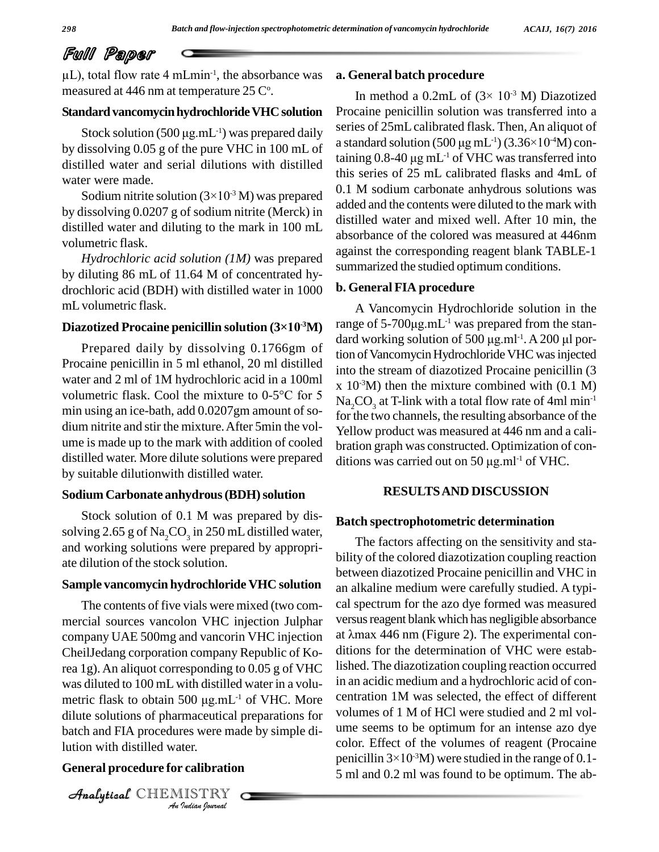# Full Paper

**T Paper**<br>total flow rate 4 mLmin<sup>-1</sup>, the absorbance was **a.** G measured at 446 nm at temperature 25  $\mathrm{C}^\circ$ .

#### **Standard vancomycin hydrochloride VHC solution** Procain

March and the limit of the primary like of the<br>Stock solution (500 µg.mL<sup>-1</sup>) was prep Stock solution (500  $\mu$ g.mL<sup>-1</sup>) was prepared daily by dissolving 0.05 g of the pure VHC in 100 mL of distilled water and serial dilutions with distilled water were made. illed water and serial dilutions with distilled<br>er were made.<br>Sodium nitrite solution  $(3\times10^{-3} \text{ M})$  was prepared  $\begin{array}{c} 0.1 \text{ M} \\ 0.1 \text{ M} \end{array}$ 

by dissolving 0.0207 g of sodium nitrite (Merck) in distilled water and diluting to the mark in 100 mL volumetric flask.

*Hydrochloric acid solution (1M)* was prepared by diluting 86 mL of 11.64 M of concentrated hy drochloric acid (BDH) with distilled water in 1000 mLvolumetric flask. **Diazotized Procaine penicillin solution (3×10 -3M)**

Prepared daily by dissolving 0.1766gm of Procaine penicillin in 5 ml ethanol, 20 ml distilled into the water and 2 ml of 1M hydrochloric acid in a 100ml x  $10^{-3}$ N volumetric flask. Cool the mixture to 0-5<sup>o</sup>C for 5 water and 2 ml of 1M hydrochloric acid in a 100ml min using an ice-bath, add 0.0207gm amount of so dium nitrite and stir the mixture.After 5min the vol ume is made up to the mark with addition of cooled distilled water. More dilute solutions were prepared by suitable dilutionwith distilled water.

#### **Sodium Carbonate anhydrous(BDH)solution**

Stock solution of 0.1 M was prepared by dis solving 2.65 g of  $\text{Na}_2\text{CO}_3$  in 250 mL distilled water, and working solutions were prepared by appropri ate dilution of the stock solution.

#### **Sample vancomycin hydrochloride VHC solution**

*Analytical dilute solutions of pharmaceutical preparations for volume Indian*<br>*Indian*<br>*IISTRY*<br>*IISTRY* The contents of five vials were mixed (two com mercial sources vancolon VHC injection Julphar company UAE 500mg and vancorin VHC injection CheilJedang corporation company Republic of Korea 1g). An aliquot corresponding to 0.05 g of VHC lished. Th<br>was diluted to 100 mL with distilled water in a volu- in an acidi<br>metric flask to obtain 500 µg.mL<sup>-1</sup> of VHC. More centration was diluted to 100 mL with distilled water in a volu metric flask to obtain 500  $\mu$ g.mL<sup>-1</sup> of VHC. More batch and FIA procedures were made by simple dilution with distilled water.

#### **General procedure for calibration**

CHEMISTRY COMPANY

#### **a. General batch procedure**

**ieneral batch procedure**<br>In method a 0.2mL of (3× 10<sup>-3</sup> M) Diazotized Procaine penicillin solution was transferred into a series of 25mL calibrated flask. Then, An aliquot of Procaine penicillin solution was transferred into a<br>series of  $25mL$  calibrated flask. Then, An aliquot of<br>a standard solution  $(500 \mu g mL^{-1}) (3.36 \times 10^{-4} M)$  conseries of 25mL calibrated flask. T<br>a standard solution (500 µg mL<sup>-1</sup>)<br>taining 0.8-40 µg mL<sup>-1</sup> of VHC w taining  $0.8-40 \mu g$  mL<sup>-1</sup> of VHC was transferred into this series of 25 mL calibrated flasks and 4mL of 0.1 M sodium carbonate anhydrous solutions was added and the contents were diluted to the mark with distilled water and mixed well. After 10 min, the absorbance of the colored was measured at 446nm against the corresponding reagent blank TABLE-1 summarized the studied optimum conditions.

#### **b. General FIA procedure**

A Vancomycin Hydrochloride solution in the **B. General FIA procedure**<br>
A Vancomycin Hydrochloride solution in the<br>
range of  $5-700\mu$ g.mL<sup>-1</sup> was prepared from the stan-A Vancomycin Hydrochloride solution in the range of 5-700 $\mu$ g.mL<sup>-1</sup> was prepared from the standard working solution of 500  $\mu$ g.ml<sup>-1</sup>. A 200  $\mu$ l pordard working solution of 500  $\mu$ g.ml<sup>-1</sup>. A 200  $\mu$ l portion of Vancomycin Hydrochloride VHC was injected into the stream of diazotized Procaine penicillin (3  $x\ 10^{-3}M$ ) then the mixture combined with  $(0.1\ M)$  $\mathrm{Na}_2\mathrm{CO}_3^+$  at T-link with a total flow rate of 4ml min $^{-1}$ for the two channels, the resulting absorbance of the Yellow product was measured at 446 nm and a calibration graph was constructed. Optimization of con- Yellow product was measured at 446 nm<br>bration graph was constructed. Optimizat<br>ditions was carried out on 50 µg.ml<sup>-1</sup> of <sup>1</sup> ditions was carried out on 50  $\mu$ g.ml<sup>-1</sup> of VHC.

#### **RESULTSAND DISCUSSION**

#### **Batch spectrophotometric determination**

The factors affecting on the sensitivity and sta bility of the colored diazotization coupling reaction between diazotized Procaine penicillin and VHC in an alkaline medium were carefully studied. A typi cal spectrum for the azo dye formed was measured versus reagent blank which has negligible absorbance at  $\lambda$ max 446 nm (Figure 2). The experimental conditions for the determination of VHC were established. The diazotization coupling reaction occurred in an acidic medium and a hydrochloric acid of con centration 1M was selected, the effect of different volumes of 1 M of HCl were studied and 2 ml vol ume seems to be optimum for an intense azo dye<br>color. Effect of the volumes of reagent (Procaine<br>penicillin  $3\times10^{-3}$ M) were studied in the range of 0.1color. Effect of the volumes of reagent (Procaine penicillin  $3\times10^{-3}$ M) were studied in the range of 0.1-5 ml and 0.2 ml was found to be optimum. The ab-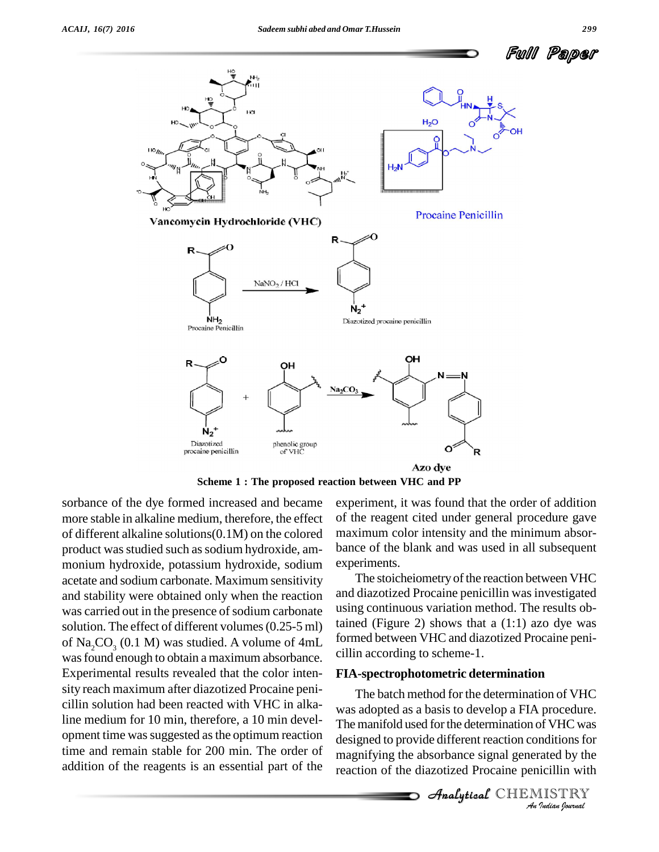



**Scheme 1 : The proposed reaction between VHC and PP**

sorbance of the dye formed increased and became more stable in alkaline medium, therefore, the effect of different alkaline solutions(0.1M) on the colored product was studied such as sodium hydroxide, ammonium hydroxide, potassium hydroxide, sodium acetate and sodium carbonate. Maximum sensitivity and stability were obtained only when the reaction was carried out in the presence of sodium carbonate solution. The effect of different volumes (0.25-5 ml) of Na<sub>2</sub>CO<sub>3</sub> (0.1 M) was studied. A volume of  $4mL$ was found enough to obtain a maximum absorbance. Experimental results revealed that the color inten sity reach maximum after diazotized Procaine peni cillin solution had been reacted with VHC in alkaline medium for 10 min, therefore, a 10 min devel opment time wassuggested asthe optimum reaction time and remain stable for 200 min. The order of addition of the reagents is an essential part of the

experiment, it was found that the order of addition of the reagent cited under general procedure gave maximum color intensity and the minimum absor bance of the blank and was used in all subsequent experiments.

The stoicheiometry of the reaction between VHC and diazotized Procaine penicillin was investigated using continuous variation method. The results obtained (Figure 2) shows that a  $(1:1)$  azo dye was formed between VHC and diazotized Procaine peni cillin according to scheme-1.

#### **FIA-spectrophotometric determination**

*An*was adopted as a basis to develop a FIA procedure. *Indian*<br>*Indians* for<br>*Indian* with<br>*IISTRY*<br>*Indian bouvad* The manifold used for the determination of VHC was The batch method for the determination of VHC designed to provide different reaction conditions for magnifying the absorbance signal generated by the reaction of the diazotized Procaine penicillin with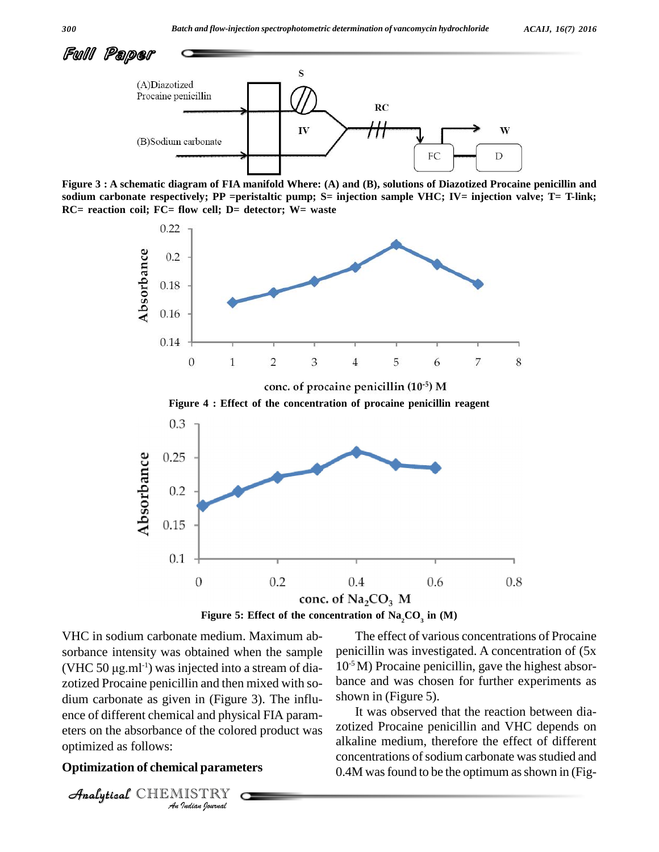

Figure 3 : A schematic diagram of FIA manifold Where: (A) and (B), solutions of Diazotized Procaine penicillin and **sodium carbonate respectively; PP =peristaltic pump; S= injection sample VHC; IV= injection valve; T= T-link; RC= reaction coil; FC= flow cell; D= detector; W= waste**





**Analytical ends** of different chemical and physical FIA param-*I* contributed and physical parameters<br>*IISTRY*<br>*IISTRY* VHC in sodium carbonate medium. Maximum ab sorbance intensity was obtained when the sample VHC in sodium carbonate medium. Maximum absorbance intensity was obtained when the sample penic (VHC 50  $\mu$ g.ml<sup>-1</sup>) was injected into a stream of diazotized Procaine penicillin and then mixed with so dium carbonate as given in (Figure 3). The influeters on the absorbance of the colored product was optimized as follows:

#### **Optimization of chemical parameters**

CHEMISTRY COMPANY

The effect of various concentrations of Procaine penicillin was investigated. A concentration of (5x 10 -5M) Procaine penicillin, gave the highest absor bance and was chosen for further experiments as shown in (Figure 5).

It was observed that the reaction between dia zotized Procaine penicillin and VHC depends on alkaline medium, therefore the effect of different concentrations of sodium carbonate was studied and 0.4M was found to be the optimum as shown in (Fig-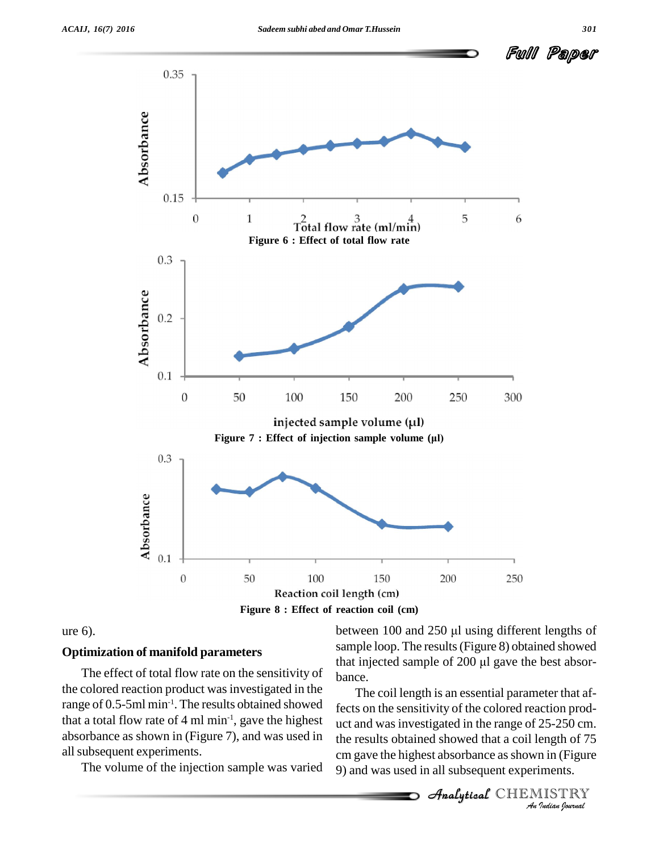



#### ure 6).

#### **Optimization of manifold parameters**

the colored reaction product was investigated in the range of 0.5-5ml min<sup>-1</sup>. The results obtained showed  $\epsilon_{\text{fects}}$  or that a total flow rate of 4 ml min<sup>-1</sup>, gave the highest  $\mu$ c absorbance as shown in (Figure 7), and was used in allsubsequent experiments.

The volume of the injection sample was varied

that injected sample of 200  $\mu$ l gave the best absort-<br>The effect of total flow rate on the sensitivity of  $\mu$ sample loop. The results(Figure 8) obtained showed between 100 and 250  $\mu$ l using different lengths of<br>sample loop. The results (Figure 8) obtained showed<br>that injected sample of 200  $\mu$ l gave the best absorbance.

> fects on the sensitivity of the colored reaction prod-*25-250 cm.*<br>ength of 75<br>in in (Figure<br>iments.<br>IISTRY uct and was investigated in the range of  $25-250$  cm. The coil length is an essential parameter that afthe results obtained showed that a coil length of 75 cm gave the highest absorbance as shown in (Figure 9) and was used in all subsequent experiments.

 $\mathcal{A}$ nalytical  $\mathbb{CHEMI}$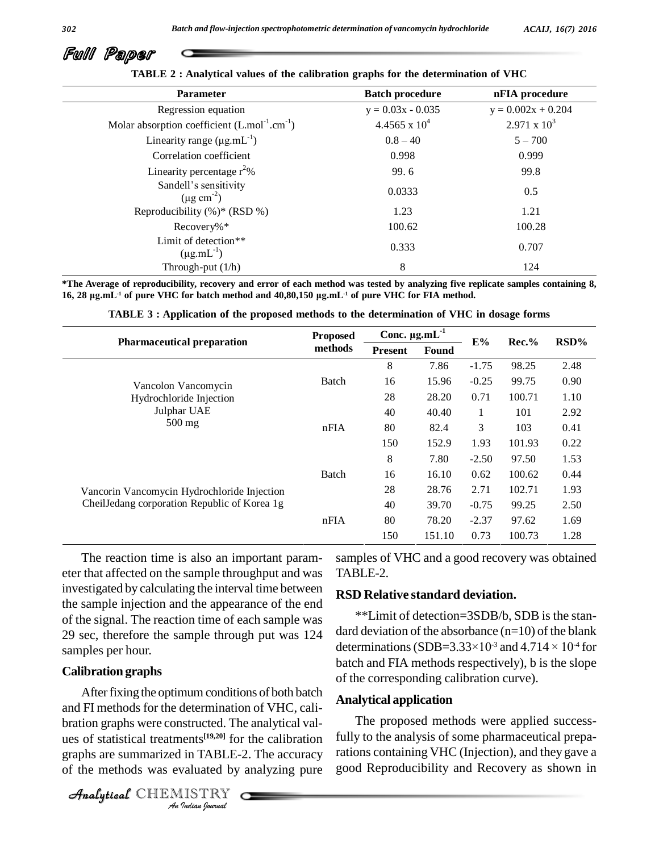

| <b>Parameter</b>                                                      | <b>Batch procedure</b> | nFIA procedure       |
|-----------------------------------------------------------------------|------------------------|----------------------|
| Regression equation                                                   | $y = 0.03x - 0.035$    | $y = 0.002x + 0.204$ |
| Molar absorption coefficient $(L \text{.} mol^{-1} \text{.} cm^{-1})$ | 4.4565 x $10^4$        | $2.971 \times 10^3$  |
| Linearity range $(\mu g.mL^{-1})$                                     | $0.8 - 40$             | $5 - 700$            |
| Correlation coefficient                                               | 0.998                  | 0.999                |
| Linearity percentage $r^2$ %                                          | 99.6                   | 99.8                 |
| Sandell's sensitivity<br>$(\mu$ g cm <sup>-2</sup> )                  | 0.0333                 | 0.5                  |
| Reproducibility $(\%)^*$ (RSD %)                                      | 1.23                   | 1.21                 |
| Recovery%*                                                            | 100.62                 | 100.28               |
| Limit of detection**<br>$(\mu g.mL^{-1})$                             | 0.333                  | 0.707                |
| Through-put $(1/h)$                                                   | 8                      | 124                  |

**TABLE 2 : Analytical values of the calibration graphs for the determination of VHC**

\*The Average of reproducibility, recovery and error of each method was tested by analyzing five replicate samples containing 8, **16, <sup>28</sup> Ïg.mL -1 of pure VHC for batch method and 40,80,150 Ïg.mL** 16, 28 µg.mL<sup>-1</sup> of pure VHC for batch method and 40,80,150 µg.mL<sup>-1</sup> of pure VHC for FIA method.

| <b>Pharmaceutical preparation</b>                                                           | <b>Proposed</b><br>methods | Conc. $\mu$ g.mL $^{-1}$ |        |         |           |        |
|---------------------------------------------------------------------------------------------|----------------------------|--------------------------|--------|---------|-----------|--------|
|                                                                                             |                            | <b>Present</b>           | Found  | $E\%$   | $Rec. \%$ | RSD%   |
| Vancolon Vancomycin<br>Hydrochloride Injection<br>Julphar UAE<br>$500$ mg                   |                            | 8                        | 7.86   | $-1.75$ | 98.25     | 2.48   |
|                                                                                             | Batch                      | 16                       | 15.96  | $-0.25$ | 99.75     | 0.90   |
|                                                                                             |                            | 28                       | 28.20  | 0.71    | 100.71    | 1.10   |
|                                                                                             |                            | 40                       | 40.40  | 1       | 101       | 2.92   |
|                                                                                             | nFA                        | 80                       | 82.4   | 3       | 103       | 0.41   |
|                                                                                             |                            |                          | 150    | 152.9   | 1.93      | 101.93 |
| Vancorin Vancomycin Hydrochloride Injection<br>CheilJedang corporation Republic of Korea 1g |                            | 8                        | 7.80   | $-2.50$ | 97.50     | 1.53   |
|                                                                                             | <b>Batch</b>               | 16                       | 16.10  | 0.62    | 100.62    | 0.44   |
|                                                                                             |                            | 28                       | 28.76  | 2.71    | 102.71    | 1.93   |
|                                                                                             |                            | 40                       | 39.70  | $-0.75$ | 99.25     | 2.50   |
|                                                                                             | nFIA                       | 80                       | 78.20  | $-2.37$ | 97.62     | 1.69   |
|                                                                                             |                            | 150                      | 151.10 | 0.73    | 100.73    | 1.28   |

The reaction time is also an important param eter that affected on the sample throughput and was investigated by calculating the interval time between the sample injection and the appearance of the end of the signal. The reaction time of each sample was 29 sec, therefore the sample through put was 124 samples per hour.

#### **Calibration graphs**

and *A Antenous for the determination of VAC*, can<br>bration graphs were constructed. The analytical val-*Indian*<br>*Indian Indian*<br>*Indian*<br>*Indian fournal* After fixing the optimum conditions of both batch and FI methods for the determination of VHC, cali ues of statistical treatments **[19,20]** for the calibration graphs are summarized in TABLE-2. The accuracy of the methods was evaluated by analyzing pure

CHEMISTRY COMPANY

samples of VHC and a good recovery was obtained TABLE-2.

### **RSD Relative standard deviation.**

\*\*Limit of detection=3SDB/b, SDB is the stan dard deviation of the absorbance  $(n=10)$  of the blank \*\*Limit of detection=3SDB/b, SDB is the stan-<br>dard deviation of the absorbance (n=10) of the blank<br>determinations (SDB=3.33×10<sup>-3</sup> and 4.714 × 10<sup>-4</sup> for batch and FIA methods respectively), b is the slope of the corresponding calibration curve).

#### **Analytical application**

The proposed methods were applied successfully to the analysis of some pharmaceutical preparations containing VHC (Injection), and they gave a good Reproducibility and Recovery as shown in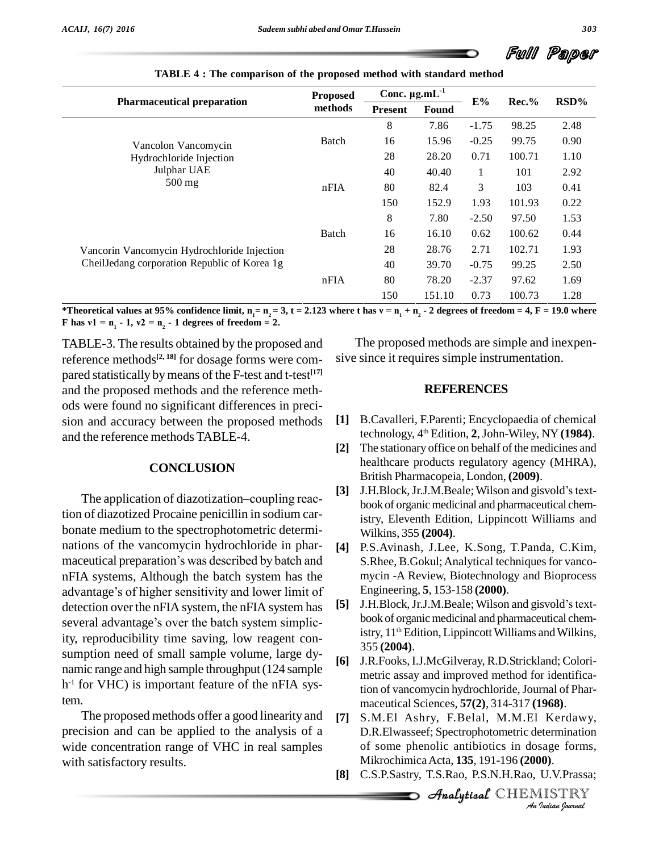

| <b>Pharmaceutical preparation</b>                                                           | <b>Proposed</b><br>methods | Conc. $\mu$ g.mL $^{-1}$ |        |              |           |        |      |
|---------------------------------------------------------------------------------------------|----------------------------|--------------------------|--------|--------------|-----------|--------|------|
|                                                                                             |                            | <b>Present</b>           | Found  | E%           | $Rec. \%$ | RSD%   |      |
| Vancolon Vancomycin<br>Hydrochloride Injection<br>Julphar UAE<br>$500$ mg                   |                            |                          | 8      | 7.86         | $-1.75$   | 98.25  | 2.48 |
|                                                                                             | Batch                      | 16                       | 15.96  | $-0.25$      | 99.75     | 0.90   |      |
|                                                                                             |                            | 28                       | 28.20  | 0.71         | 100.71    | 1.10   |      |
|                                                                                             |                            | 40                       | 40.40  | $\mathbf{1}$ | 101       | 2.92   |      |
|                                                                                             |                            | nFA                      | 80     | 82.4         | 3         | 103    | 0.41 |
|                                                                                             |                            |                          | 150    | 152.9        | 1.93      | 101.93 | 0.22 |
| Vancorin Vancomycin Hydrochloride Injection<br>CheilJedang corporation Republic of Korea 1g |                            | 8                        | 7.80   | $-2.50$      | 97.50     | 1.53   |      |
|                                                                                             | Batch                      | 16                       | 16.10  | 0.62         | 100.62    | 0.44   |      |
|                                                                                             |                            | 28                       | 28.76  | 2.71         | 102.71    | 1.93   |      |
|                                                                                             |                            | 40                       | 39.70  | $-0.75$      | 99.25     | 2.50   |      |
|                                                                                             | nFIA                       | 80                       | 78.20  | $-2.37$      | 97.62     | 1.69   |      |
|                                                                                             |                            | 150                      | 151.10 | 0.73         | 100.73    | 1.28   |      |

\*Theoretical values at 95% confidence limit,  $n_1 = n_2 = 3$ ,  $t = 2.123$  where t has  $v = n_1 + n_2 - 2$  degrees of freedom = 4,  $F = 19.0$  where F has  $v1 = n_1 - 1$ ,  $v2 = n_2 - 1$  degrees of freedom = 2.

TABLE-3. The results obtained by the proposed and reference methods **[2, 18]** for dosage forms were com pared statistically bymeans of the F-test and t-test **[17]** and the proposed methods and the reference meth ods were found no significant differences in preci sion and accuracy between the proposed methods [1] and the reference methods TABLE-4.

#### **CONCLUSION**

The application of diazotization–coupling reaction of diazotized Procaine penicillin in sodium car bonate medium to the spectrophotometric determi-<br>nations of the vancomycin hydrochloride in phar-<br>maceutical preparation's was described by batch and<br>S. nations of the vancomycin hydrochloride in phar- [4] nFIA systems, Although the batch system has the maceutical preparation's was described by batch and<br>nFIA systems, Although the batch system has the<br>advantage's of higher sensitivity and lower limit of detection over the nFIA system, the nFIA system has  $[5]$ several advantage's over the batch system simplicity, reproducibility time saving, low reagent con sumption need of small sample volume, large dy-<br>[6] namic range and high sample throughput (124 sample  $h$ <sup>-1</sup> for VHC) is important feature of the nFIA system.<br>The proposed methods offer a good linearity and [7]

precision and can be applied to the analysis of a wide concentration range of VHC in real samples with satisfactory results.

The proposed methods are simple and inexpen sive since it requires simple instrumentation.

#### **REFERENCES**

- **[1]** B.Cavalleri, F.Parenti; Encyclopaedia of chemical technology, 4 th Edition, **2**,John-Wiley, NY **(1984)**.
- **[2]** The stationary office on behalf of the medicines and healthcare products regulatory agency (MHRA), British Pharmacopeia, London, **(2009)**.
- [3] J.H.Block, Jr.J.M.Beale; Wilson and gisvold's textbook of organic medicinal and pharmaceutical chemistry, Eleventh Edition, Lippincott Williams and Wilkins, 355 **(2004)**.
- **[4]** P.S.Avinash, J.Lee, K.Song, T.Panda, C.Kim, S.Rhee, B.Gokul; Analytical techniques for vancomycin -A Review, Biotechnology and Bioprocess Engineering, **5**, 153-158 **(2000)**.
- J.H.Block, Jr.J.M.Beale; Wilson and gisvold's textbook of organic medicinal and pharmaceutical chemistry, 11<sup>th</sup> Edition, Lippincott Williams and Wilkins, 355 **(2004)**.
- **[6]** J.R.Fooks, I.J.McGilveray, R.D.Strickland; Colori metric assay and improved method for identification of vancomycin hydrochloride, Journal of Pharmaceutical Sciences, **57(2)**, 314-317 **(1968)**.
- **[7]** S.M.El Ashry, F.Belal, M.M.El Kerdawy, *I*<br>*Indian*<br>*Indian*<br>*I*<br>*Indian bounded by Tudian bounded<br><i>Indian bounded* D.R.Elwasseef; Spectrophotometric determination of some phenolic antibiotics in dosage forms, MikrochimicaActa, **135**, 191-196 **(2000)**.
- **[8]** C.S.P.Sastry, T.S.Rao, P.S.N.H.Rao, U.V.Prassa;